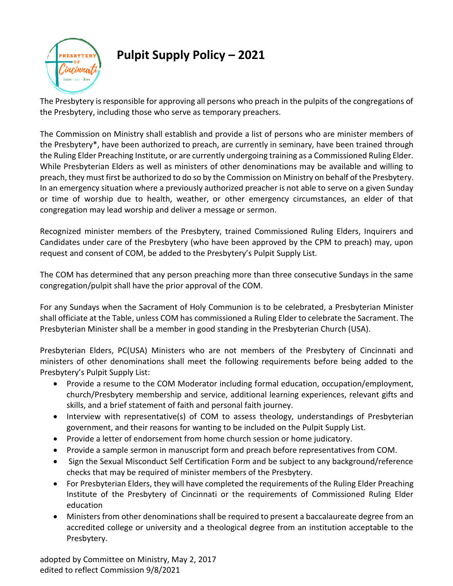

**Pulpit Supply Policy – 2021**

The Presbytery is responsible for approving all persons who preach in the pulpits of the congregations of the Presbytery, including those who serve as temporary preachers.

The Commission on Ministry shall establish and provide a list of persons who are minister members of the Presbytery\*, have been authorized to preach, are currently in seminary, have been trained through the Ruling Elder Preaching Institute, or are currently undergoing training as a Commissioned Ruling Elder. While Presbyterian Elders as well as ministers of other denominations may be available and willing to preach, they must first be authorized to do so by the Commission on Ministry on behalf of the Presbytery. In an emergency situation where a previously authorized preacher is not able to serve on a given Sunday or time of worship due to health, weather, or other emergency circumstances, an elder of that congregation may lead worship and deliver a message or sermon.

Recognized minister members of the Presbytery, trained Commissioned Ruling Elders, Inquirers and Candidates under care of the Presbytery (who have been approved by the CPM to preach) may, upon request and consent of COM, be added to the Presbytery's Pulpit Supply List.

The COM has determined that any person preaching more than three consecutive Sundays in the same congregation/pulpit shall have the prior approval of the COM.

For any Sundays when the Sacrament of Holy Communion is to be celebrated, a Presbyterian Minister shall officiate at the Table, unless COM has commissioned a Ruling Elder to celebrate the Sacrament. The Presbyterian Minister shall be a member in good standing in the Presbyterian Church (USA).

Presbyterian Elders, PC(USA) Ministers who are not members of the Presbytery of Cincinnati and ministers of other denominations shall meet the following requirements before being added to the Presbytery's Pulpit Supply List:

- Provide a resume to the COM Moderator including formal education, occupation/employment, church/Presbytery membership and service, additional learning experiences, relevant gifts and skills, and a brief statement of faith and personal faith journey.
- Interview with representative(s) of COM to assess theology, understandings of Presbyterian government, and their reasons for wanting to be included on the Pulpit Supply List.
- Provide a letter of endorsement from home church session or home judicatory.
- Provide a sample sermon in manuscript form and preach before representatives from COM.
- Sign the Sexual Misconduct Self Certification Form and be subject to any background/reference checks that may be required of minister members of the Presbytery.
- For Presbyterian Elders, they will have completed the requirements of the Ruling Elder Preaching Institute of the Presbytery of Cincinnati or the requirements of Commissioned Ruling Elder education
- Ministers from other denominations shall be required to present a baccalaureate degree from an accredited college or university and a theological degree from an institution acceptable to the Presbytery.

adopted by Committee on Ministry, May 2, 2017 edited to reflect Commission 9/8/2021